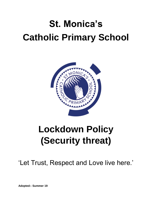# **St. Monica's Catholic Primary School**



# **Lockdown Policy (Security threat)**

'Let Trust, Respect and Love live here.'

**Adopted:- Summer 19**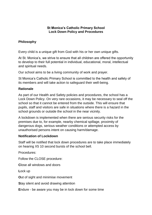### **St Monica's Catholic Primary School Lock Down Policy and Procedures**

# **Philosophy**

Every child is a unique gift from God with his or her own unique gifts.

At St. Monica's, we strive to ensure that all children are offered the opportunity to develop to their full potential in individual, educational, moral, intellectual and spiritual needs.

Our school aims to be a living community of work and prayer.

St Monica's Catholic Primary School is committed to the health and safety of its members and will take action to safeguard their well-being.

### **Rationale**

As part of our Health and Safety policies and procedures, the school has a Lock Down Policy. On very rare occasions, it may be necessary to seal off the school so that it cannot be entered from the outside. This will ensure that pupils, staff and visitors are safe in situations where there is a hazard in the school grounds or outside the school in the near vicinity.

A lockdown is implemented when there are serious security risks for the premises due to, for example, nearby chemical spillage, proximity of dangerous dogs, serious weather conditions or attempted access by unauthorised persons intent on causing harm/damage.

### **Notification of Lockdown**

Staff will be notified that lock down procedures are to take place immediately on hearing X5 10 second bursts of the school bell.

Procedures:

Follow the CLOSE procedure:

**C**lose all windows and doors

**L**ock up

**O**ut of sight and minimise movement

**S**tay silent and avoid drawing attention

**E**ndure - be aware you may be in lock down for some time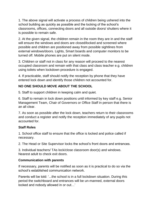1. The above signal will activate a process of children being ushered into the school building as quickly as possible and the locking of the school's classrooms, offices, connecting doors and all outside doors/ shutters where it is possible to remain safe.

2. At the given signal, the children remain in the room they are in and the staff will ensure the windows and doors are closed/locked and screened where possible and children are positioned away from possible sightlines from external windows/doors. Lights, Smart boards and computer monitors to be turned off. Mobile phones are put on silent mode.

3. Children or staff not in class for any reason will proceed to the nearest occupied classroom and remain with that class and class teacher e.g. children using toilets when lockdown procedure is engaged.

4. If practicable, staff should notify the reception by phone that they have entered lock down and identify those children not accounted for.

# **NO ONE SHOULD MOVE ABOUT THE SCHOOL**

5. Staff to support children in keeping calm and quiet.

6. Staff to remain in lock down positions until informed by key staff e.g. Senior Management Team, Chair of Governors or Office Staff in person that there is an all clear.

7. As soon as possible after the lock down, teachers return to their classrooms and conduct a register and notify the reception immediately of any pupils not accounted for.

# **Staff Roles**

1. School office staff to ensure that the office is locked and police called if necessary.

2. The Head or Site Supervisor locks the school's front doors and entrances.

3. Individual teachers/ TAs lock/close classroom door(s) and windows. Nearest adult to check exit doors.

### **Communication with parents**

If necessary, parents will be notified as soon as it is practical to do so via the school's established communication network.

Parents will be told: '...the school is in a full lockdown situation. During this period the switchboard and entrances will be un-manned, external doors locked and nobody allowed in or out…'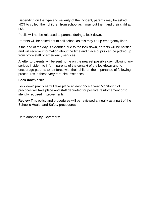Depending on the type and severity of the incident, parents may be asked NOT to collect their children from school as it may put them and their child at risk.

Pupils will not be released to parents during a lock down.

Parents will be asked not to call school as this may tie up emergency lines.

If the end of the day is extended due to the lock down, parents will be notified and will receive information about the time and place pupils can be picked up from office staff or emergency services.

A letter to parents will be sent home on the nearest possible day following any serious incident to inform parents of the context of the lockdown and to encourage parents to reinforce with their children the importance of following procedures in these very rare circumstances.

# **Lock down drills**

Lock down practices will take place at least once a year.Monitoring of practices will take place and staff debriefed for positive reinforcement or to identify required improvements.

**Review** This policy and procedures will be reviewed annually as a part of the School's Health and Safety procedures.

Date adopted by Governors:-